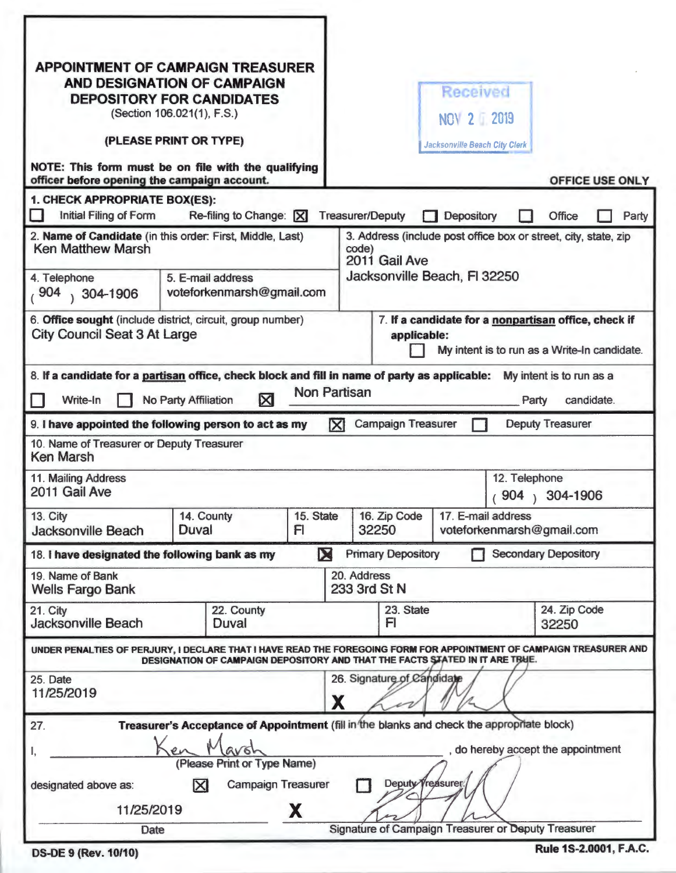| <b>APPOINTMENT OF CAMPAIGN TREASURER</b><br>AND DESIGNATION OF CAMPAIGN<br><b>DEPOSITORY FOR CANDIDATES</b><br>(Section 106.021(1), F.S.) |                                                                                            |                                                                                                                     |                                 | <b>Received</b><br><b>NOV 2 2019</b> |                                                 |                             |            |       |  |
|-------------------------------------------------------------------------------------------------------------------------------------------|--------------------------------------------------------------------------------------------|---------------------------------------------------------------------------------------------------------------------|---------------------------------|--------------------------------------|-------------------------------------------------|-----------------------------|------------|-------|--|
| (PLEASE PRINT OR TYPE)                                                                                                                    |                                                                                            |                                                                                                                     |                                 | <b>Jacksonville Beach City Clerk</b> |                                                 |                             |            |       |  |
| NOTE: This form must be on file with the qualifying<br>officer before opening the campaign account.                                       |                                                                                            |                                                                                                                     |                                 |                                      |                                                 | OFFICE USE ONLY             |            |       |  |
| 1. CHECK APPROPRIATE BOX(ES):                                                                                                             |                                                                                            |                                                                                                                     |                                 |                                      |                                                 |                             |            |       |  |
| Initial Filing of Form                                                                                                                    | Re-filing to Change: X                                                                     |                                                                                                                     | <b>Treasurer/Deputy</b>         | Depository                           |                                                 | <b>Office</b>               |            | Party |  |
| 2. Name of Candidate (in this order: First, Middle, Last)<br><b>Ken Matthew Marsh</b>                                                     |                                                                                            | 3. Address (include post office box or street, city, state, zip<br>code)<br>2011 Gail Ave                           |                                 |                                      |                                                 |                             |            |       |  |
| 4. Telephone<br>,904<br>$304 - 1906$                                                                                                      | 5. E-mail address<br>voteforkenmarsh@gmail.com                                             |                                                                                                                     | Jacksonville Beach, FI 32250    |                                      |                                                 |                             |            |       |  |
| 6. Office sought (include district, circuit, group number)<br><b>City Council Seat 3 At Large</b>                                         |                                                                                            | 7. If a candidate for a nonpartisan office, check if<br>applicable:<br>My intent is to run as a Write-In candidate. |                                 |                                      |                                                 |                             |            |       |  |
| 8. If a candidate for a partisan office, check block and fill in name of party as applicable:                                             |                                                                                            |                                                                                                                     |                                 |                                      |                                                 | My intent is to run as a    |            |       |  |
| Write-In                                                                                                                                  | $\boxtimes$<br>No Party Affiliation                                                        |                                                                                                                     | <b>Non Partisan</b>             |                                      |                                                 | Party                       | candidate. |       |  |
| 9. I have appointed the following person to act as my                                                                                     |                                                                                            |                                                                                                                     | K<br><b>Campaign Treasurer</b>  |                                      |                                                 | <b>Deputy Treasurer</b>     |            |       |  |
| 10. Name of Treasurer or Deputy Treasurer<br><b>Ken Marsh</b>                                                                             |                                                                                            |                                                                                                                     |                                 |                                      |                                                 |                             |            |       |  |
| 11. Mailing Address<br>2011 Gail Ave                                                                                                      |                                                                                            |                                                                                                                     |                                 |                                      | 12. Telephone<br>904                            | 304-1906                    |            |       |  |
| 13. City<br><b>Jacksonville Beach</b>                                                                                                     | 14. County<br>Duval                                                                        | 15. State<br>FI                                                                                                     |                                 | 16. Zip Code                         | 17. E-mail address<br>voteforkenmarsh@gmail.com |                             |            |       |  |
| 18. I have designated the following bank as my                                                                                            |                                                                                            | M                                                                                                                   | <b>Primary Depository</b>       |                                      |                                                 | <b>Secondary Depository</b> |            |       |  |
| 19. Name of Bank<br><b>Wells Fargo Bank</b>                                                                                               |                                                                                            | 20. Address<br>233 3rd St N                                                                                         |                                 |                                      |                                                 |                             |            |       |  |
| 21. City<br><b>Jacksonville Beach</b>                                                                                                     | 22. County<br>Duval                                                                        |                                                                                                                     |                                 | 23. State<br>FI                      |                                                 | 24. Zip Code<br>32250       |            |       |  |
| UNDER PENALTIES OF PERJURY, I DECLARE THAT I HAVE READ THE FOREGOING FORM FOR APPOINTMENT OF CAMPAIGN TREASURER AND                       | DESIGNATION OF CAMPAIGN DEPOSITORY AND THAT THE FACTS STATED IN IT ARE TRUE.               |                                                                                                                     |                                 |                                      |                                                 |                             |            |       |  |
| 25. Date<br>11/25/2019                                                                                                                    |                                                                                            |                                                                                                                     | 26. Signature of Candidate<br>X |                                      |                                                 |                             |            |       |  |
| 27.                                                                                                                                       | Treasurer's Acceptance of Appointment (fill in the blanks and check the appropriate block) |                                                                                                                     |                                 |                                      |                                                 |                             |            |       |  |
| 1,                                                                                                                                        | avoh<br>en<br>(Please Print or Type Name)                                                  |                                                                                                                     |                                 |                                      | do hereby accept the appointment                |                             |            |       |  |
| designated above as:                                                                                                                      | $\boxtimes$                                                                                | <b>Campaign Treasurer</b>                                                                                           |                                 | Deputy Treasurer                     |                                                 |                             |            |       |  |
| 11/25/2019                                                                                                                                | X                                                                                          |                                                                                                                     |                                 |                                      |                                                 |                             |            |       |  |
| Date                                                                                                                                      |                                                                                            | Signature of Campaign Treasurer or Deputy Treasurer                                                                 |                                 |                                      |                                                 |                             |            |       |  |
| <b>DS-DE 9 (Rev. 10/10)</b>                                                                                                               |                                                                                            |                                                                                                                     |                                 |                                      |                                                 | Rule 1S-2.0001, F.A.C.      |            |       |  |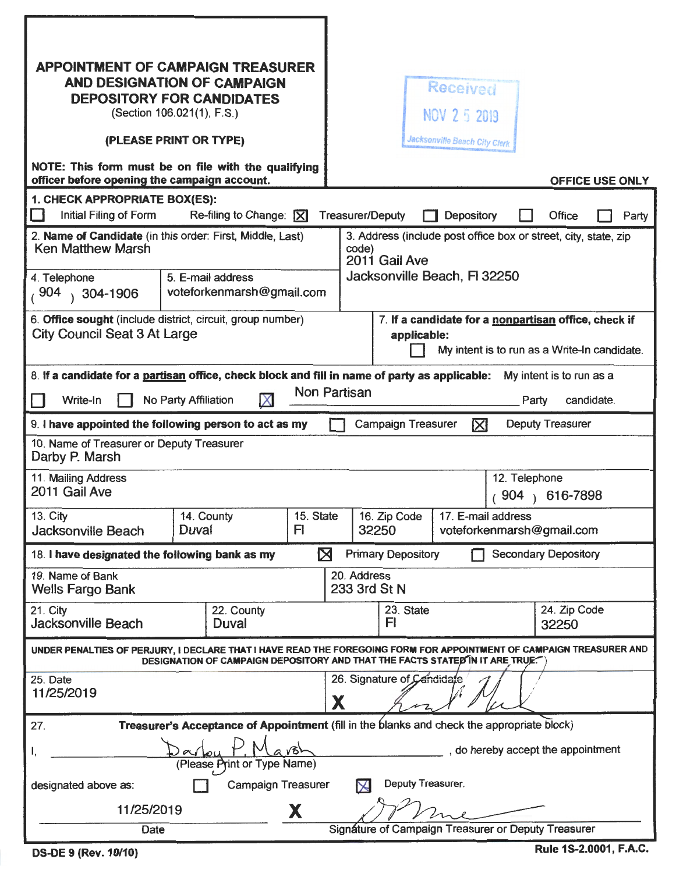| <b>APPOINTMENT OF CAMPAIGN TREASURER</b><br>AND DESIGNATION OF CAMPAIGN<br><b>DEPOSITORY FOR CANDIDATES</b><br>(Section 106.021(1), F.S.)<br>(PLEASE PRINT OR TYPE)<br>NOTE: This form must be on file with the qualifying<br>officer before opening the campaign account.<br>1. CHECK APPROPRIATE BOX(ES): |                     |                                                                              |                             |                                                     |                                                                                                                     |                           | Received<br>NOV 2 5 2019<br>Jacksonville Beach City Clerk                                       |                       |                             | <b>OFFICE USE ONLY</b> |  |
|-------------------------------------------------------------------------------------------------------------------------------------------------------------------------------------------------------------------------------------------------------------------------------------------------------------|---------------------|------------------------------------------------------------------------------|-----------------------------|-----------------------------------------------------|---------------------------------------------------------------------------------------------------------------------|---------------------------|-------------------------------------------------------------------------------------------------|-----------------------|-----------------------------|------------------------|--|
| Initial Filing of Form                                                                                                                                                                                                                                                                                      |                     | Re-filing to Change: $[\overline{X}]$                                        |                             |                                                     | <b>Treasurer/Deputy</b>                                                                                             |                           | Depository                                                                                      |                       | Office                      | Party                  |  |
| 2. Name of Candidate (in this order: First, Middle, Last)<br><b>Ken Matthew Marsh</b><br>4. Telephone<br>,904<br>$\sqrt{304-1906}$                                                                                                                                                                          |                     | 5. E-mail address<br>voteforkenmarsh@gmail.com                               |                             |                                                     | code)                                                                                                               | 2011 Gail Ave             | 3. Address (include post office box or street, city, state, zip<br>Jacksonville Beach, FI 32250 |                       |                             |                        |  |
| 6. Office sought (include district, circuit, group number)<br><b>City Council Seat 3 At Large</b>                                                                                                                                                                                                           |                     |                                                                              |                             |                                                     | 7. If a candidate for a nonpartisan office, check if<br>applicable:<br>My intent is to run as a Write-In candidate. |                           |                                                                                                 |                       |                             |                        |  |
| 8. If a candidate for a partisan office, check block and fill in name of party as applicable:<br>My intent is to run as a<br>Non Partisan<br>$\times$<br>candidate.<br>No Party Affiliation<br>Write-In<br>Party                                                                                            |                     |                                                                              |                             |                                                     |                                                                                                                     |                           |                                                                                                 |                       |                             |                        |  |
| Campaign Treasurer<br><b>Deputy Treasurer</b><br>区<br>9. I have appointed the following person to act as my                                                                                                                                                                                                 |                     |                                                                              |                             |                                                     |                                                                                                                     |                           |                                                                                                 |                       |                             |                        |  |
| 10. Name of Treasurer or Deputy Treasurer<br>Darby P. Marsh                                                                                                                                                                                                                                                 |                     |                                                                              |                             |                                                     |                                                                                                                     |                           |                                                                                                 |                       |                             |                        |  |
| 11. Mailing Address<br>2011 Gail Ave                                                                                                                                                                                                                                                                        |                     |                                                                              |                             | 12. Telephone<br>904<br>616-7898                    |                                                                                                                     |                           |                                                                                                 |                       |                             |                        |  |
| 13. City<br><b>Jacksonville Beach</b>                                                                                                                                                                                                                                                                       | Duval               | 14. County<br>15. State<br>FI                                                |                             | 16. Zip Code<br>32250                               |                                                                                                                     |                           | 17. E-mail address<br>voteforkenmarsh@gmail.com                                                 |                       |                             |                        |  |
| 18. I have designated the following bank as my                                                                                                                                                                                                                                                              |                     |                                                                              |                             | ⊠                                                   |                                                                                                                     | <b>Primary Depository</b> |                                                                                                 |                       | <b>Secondary Depository</b> |                        |  |
| 19. Name of Bank<br><b>Wells Fargo Bank</b>                                                                                                                                                                                                                                                                 |                     |                                                                              | 20. Address<br>233 3rd St N |                                                     |                                                                                                                     |                           |                                                                                                 |                       |                             |                        |  |
| 21. City<br><b>Jacksonville Beach</b>                                                                                                                                                                                                                                                                       | 22. County<br>Duval |                                                                              |                             | 23. State<br>FI                                     |                                                                                                                     |                           |                                                                                                 | 24. Zip Code<br>32250 |                             |                        |  |
| UNDER PENALTIES OF PERJURY, I DECLARE THAT I HAVE READ THE FOREGOING FORM FOR APPOINTMENT OF CAMPAIGN TREASURER AND                                                                                                                                                                                         |                     | DESIGNATION OF CAMPAIGN DEPOSITORY AND THAT THE FACTS STATED IN IT ARE TRUE. |                             |                                                     |                                                                                                                     |                           |                                                                                                 |                       |                             |                        |  |
| 25. Date<br>11/25/2019                                                                                                                                                                                                                                                                                      |                     |                                                                              |                             | 26. Signature of Cendidate<br>Χ                     |                                                                                                                     |                           |                                                                                                 |                       |                             |                        |  |
| Treasurer's Acceptance of Appointment (fill in the blanks and check the appropriate block)<br>27.                                                                                                                                                                                                           |                     |                                                                              |                             |                                                     |                                                                                                                     |                           |                                                                                                 |                       |                             |                        |  |
| , do hereby accept the appointment<br>vBI<br>I,<br>(Please Print or Type Name)                                                                                                                                                                                                                              |                     |                                                                              |                             |                                                     |                                                                                                                     |                           |                                                                                                 |                       |                             |                        |  |
| Deputy Treasurer.<br>Campaign Treasurer<br>designated above as:<br>$\times$                                                                                                                                                                                                                                 |                     |                                                                              |                             |                                                     |                                                                                                                     |                           |                                                                                                 |                       |                             |                        |  |
| 11/25/2019                                                                                                                                                                                                                                                                                                  |                     | X                                                                            |                             |                                                     |                                                                                                                     |                           |                                                                                                 |                       |                             |                        |  |
| Date                                                                                                                                                                                                                                                                                                        |                     |                                                                              |                             | Signature of Campaign Treasurer or Deputy Treasurer |                                                                                                                     |                           |                                                                                                 |                       |                             |                        |  |
| Rule 1S-2.0001, F.A.C.<br><b>DS-DE 9 (Rev. 10/10)</b>                                                                                                                                                                                                                                                       |                     |                                                                              |                             |                                                     |                                                                                                                     |                           |                                                                                                 |                       |                             |                        |  |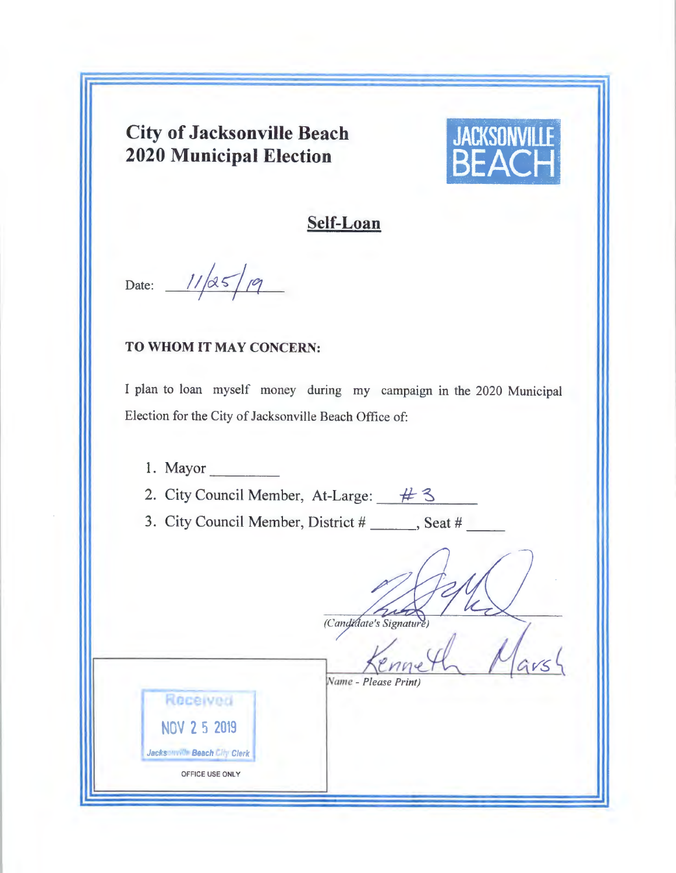## **City of Jacksonville Beach 2020 Municipal Election**



## **Self-Loan**

Date:  $\sqrt{ }$ 

## **TO WHOM** IT MAY CONCERN:

I plan to loan myself money during my campaign in the 2020 Municipal Election for the City of Jacksonville Beach Office of:

1. Mayor 2. City Council Member, At-Large:  $\#$  3 3. City Council Member, District # \_\_\_\_\_\_, Seat # (Candidate's Signature)  $GVS$ Name - Please Print) Received NOV **2** 5 <sup>2019</sup> Jacksonville Beach City Clerk OFFICE USE ONLY